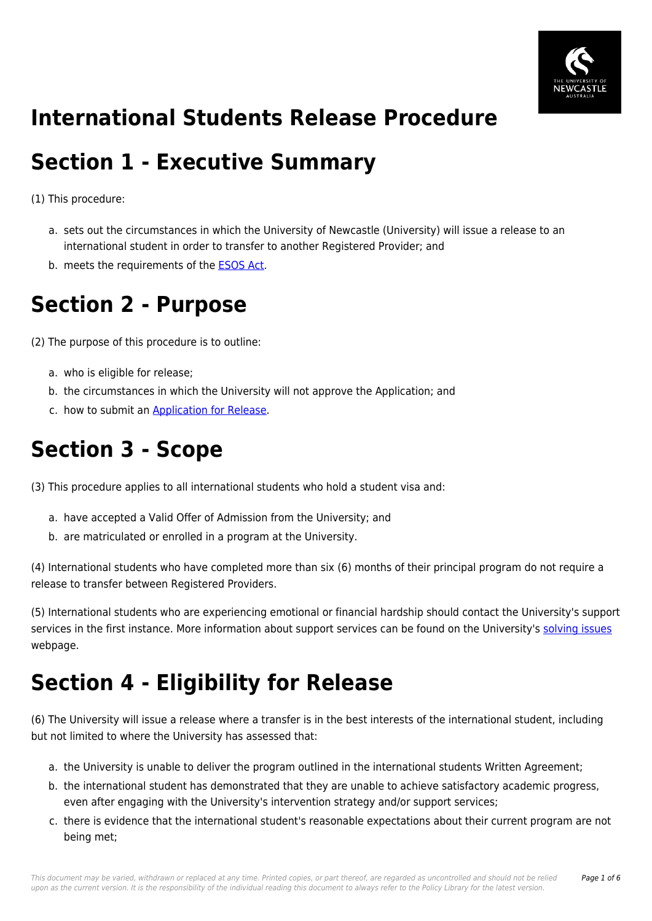

#### **International Students Release Procedure**

#### **Section 1 - Executive Summary**

(1) This procedure:

- a. sets out the circumstances in which the University of Newcastle (University) will issue a release to an international student in order to transfer to another Registered Provider; and
- b. meets the requirements of the [ESOS Act](https://policies.newcastle.edu.au/directory-summary.php?legislation=12).

# **Section 2 - Purpose**

(2) The purpose of this procedure is to outline:

- a. who is eligible for release;
- b. the circumstances in which the University will not approve the Application; and
- c. how to submit an [Application for Release](https://policies.newcastle.edu.au/download.php?id=169&version=6&associated).

#### **Section 3 - Scope**

(3) This procedure applies to all international students who hold a student visa and:

- a. have accepted a Valid Offer of Admission from the University; and
- b. are matriculated or enrolled in a program at the University.

(4) International students who have completed more than six (6) months of their principal program do not require a release to transfer between Registered Providers.

(5) International students who are experiencing emotional or financial hardship should contact the University's support services in the first instance. More information about support services can be found on the University's [solving issues](https://policies.newcastle.edu.au/download.php?id=293&version=1&associated) webpage.

## **Section 4 - Eligibility for Release**

(6) The University will issue a release where a transfer is in the best interests of the international student, including but not limited to where the University has assessed that:

- a. the University is unable to deliver the program outlined in the international students Written Agreement;
- b. the international student has demonstrated that they are unable to achieve satisfactory academic progress, even after engaging with the University's intervention strategy and/or support services;
- c. there is evidence that the international student's reasonable expectations about their current program are not being met;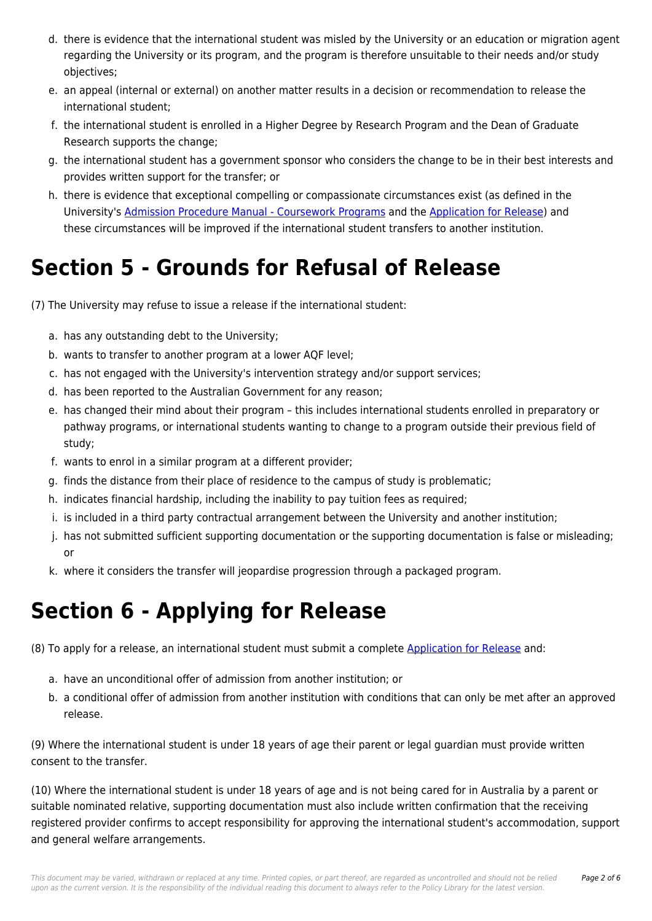- d. there is evidence that the international student was misled by the University or an education or migration agent regarding the University or its program, and the program is therefore unsuitable to their needs and/or study objectives;
- e. an appeal (internal or external) on another matter results in a decision or recommendation to release the international student;
- f. the international student is enrolled in a Higher Degree by Research Program and the Dean of Graduate Research supports the change;
- g. the international student has a government sponsor who considers the change to be in their best interests and provides written support for the transfer; or
- h. there is evidence that exceptional compelling or compassionate circumstances exist (as defined in the University's [Admission Procedure Manual - Coursework Programs](https://policies.newcastle.edu.au/document/view-current.php?id=237) and the [Application for Release](https://policies.newcastle.edu.au/download.php?id=169&version=6&associated)) and these circumstances will be improved if the international student transfers to another institution.

## **Section 5 - Grounds for Refusal of Release**

(7) The University may refuse to issue a release if the international student:

- a. has any outstanding debt to the University;
- b. wants to transfer to another program at a lower AQF level;
- c. has not engaged with the University's intervention strategy and/or support services;
- d. has been reported to the Australian Government for any reason;
- e. has changed their mind about their program this includes international students enrolled in preparatory or pathway programs, or international students wanting to change to a program outside their previous field of study;
- f. wants to enrol in a similar program at a different provider;
- g. finds the distance from their place of residence to the campus of study is problematic;
- h. indicates financial hardship, including the inability to pay tuition fees as required;
- i. is included in a third party contractual arrangement between the University and another institution;
- j. has not submitted sufficient supporting documentation or the supporting documentation is false or misleading; or
- k. where it considers the transfer will jeopardise progression through a packaged program.

## **Section 6 - Applying for Release**

(8) To apply for a release, an international student must submit a complete [Application for Release](https://policies.newcastle.edu.au/download.php?id=169&version=6&associated) and:

- a. have an unconditional offer of admission from another institution; or
- b. a conditional offer of admission from another institution with conditions that can only be met after an approved release.

(9) Where the international student is under 18 years of age their parent or legal guardian must provide written consent to the transfer.

(10) Where the international student is under 18 years of age and is not being cared for in Australia by a parent or suitable nominated relative, supporting documentation must also include written confirmation that the receiving registered provider confirms to accept responsibility for approving the international student's accommodation, support and general welfare arrangements.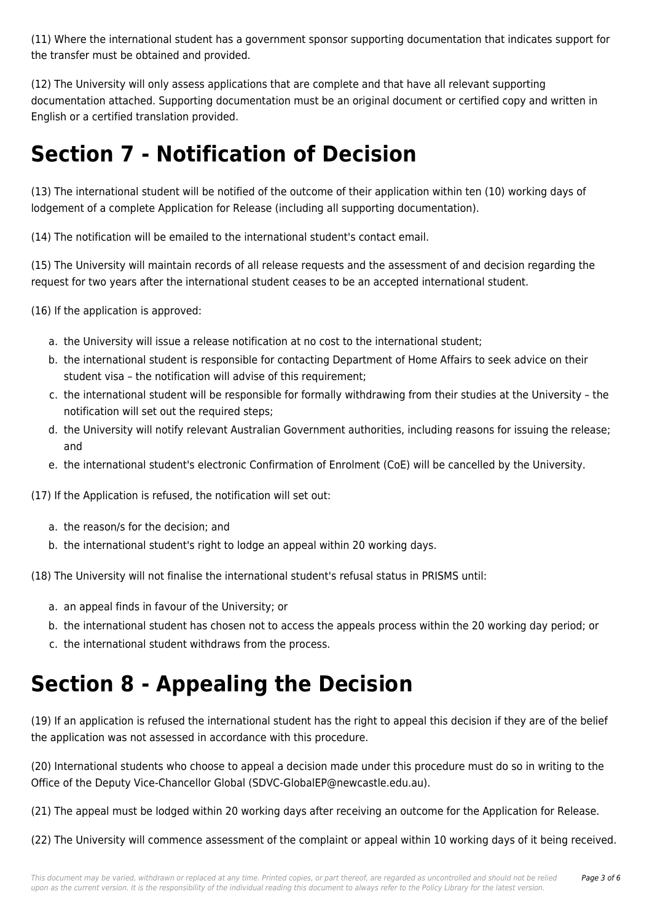(11) Where the international student has a government sponsor supporting documentation that indicates support for the transfer must be obtained and provided.

(12) The University will only assess applications that are complete and that have all relevant supporting documentation attached. Supporting documentation must be an original document or certified copy and written in English or a certified translation provided.

#### **Section 7 - Notification of Decision**

(13) The international student will be notified of the outcome of their application within ten (10) working days of lodgement of a complete Application for Release (including all supporting documentation).

(14) The notification will be emailed to the international student's contact email.

(15) The University will maintain records of all release requests and the assessment of and decision regarding the request for two years after the international student ceases to be an accepted international student.

(16) If the application is approved:

- a. the University will issue a release notification at no cost to the international student;
- b. the international student is responsible for contacting Department of Home Affairs to seek advice on their student visa – the notification will advise of this requirement;
- c. the international student will be responsible for formally withdrawing from their studies at the University the notification will set out the required steps;
- d. the University will notify relevant Australian Government authorities, including reasons for issuing the release; and
- e. the international student's electronic Confirmation of Enrolment (CoE) will be cancelled by the University.

(17) If the Application is refused, the notification will set out:

- a. the reason/s for the decision; and
- b. the international student's right to lodge an appeal within 20 working days.

(18) The University will not finalise the international student's refusal status in PRISMS until:

- a. an appeal finds in favour of the University; or
- b. the international student has chosen not to access the appeals process within the 20 working day period; or
- c. the international student withdraws from the process.

## **Section 8 - Appealing the Decision**

(19) If an application is refused the international student has the right to appeal this decision if they are of the belief the application was not assessed in accordance with this procedure.

(20) International students who choose to appeal a decision made under this procedure must do so in writing to the Office of the Deputy Vice-Chancellor Global (SDVC-GlobalEP@newcastle.edu.au).

(21) The appeal must be lodged within 20 working days after receiving an outcome for the Application for Release.

(22) The University will commence assessment of the complaint or appeal within 10 working days of it being received.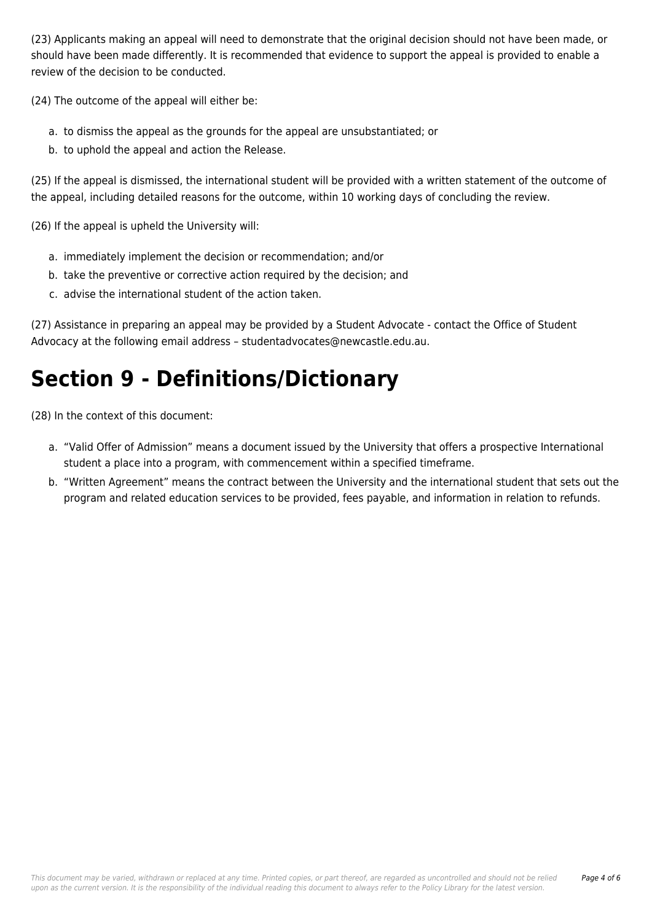(23) Applicants making an appeal will need to demonstrate that the original decision should not have been made, or should have been made differently. It is recommended that evidence to support the appeal is provided to enable a review of the decision to be conducted.

(24) The outcome of the appeal will either be:

- a. to dismiss the appeal as the grounds for the appeal are unsubstantiated; or
- b. to uphold the appeal and action the Release.

(25) If the appeal is dismissed, the international student will be provided with a written statement of the outcome of the appeal, including detailed reasons for the outcome, within 10 working days of concluding the review.

(26) If the appeal is upheld the University will:

- a. immediately implement the decision or recommendation; and/or
- b. take the preventive or corrective action required by the decision; and
- c. advise the international student of the action taken.

(27) Assistance in preparing an appeal may be provided by a Student Advocate - contact the Office of Student Advocacy at the following email address – studentadvocates@newcastle.edu.au.

## **Section 9 - Definitions/Dictionary**

(28) In the context of this document:

- a. "Valid Offer of Admission" means a document issued by the University that offers a prospective International student a place into a program, with commencement within a specified timeframe.
- b. "Written Agreement" means the contract between the University and the international student that sets out the program and related education services to be provided, fees payable, and information in relation to refunds.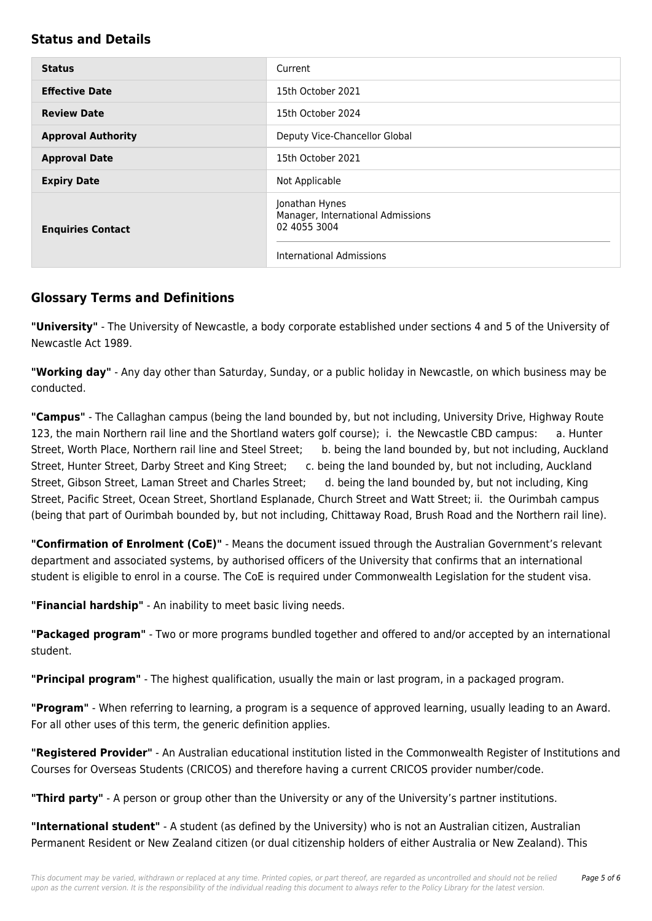#### **Status and Details**

| <b>Status</b>             | Current                                                             |
|---------------------------|---------------------------------------------------------------------|
| <b>Effective Date</b>     | 15th October 2021                                                   |
| <b>Review Date</b>        | 15th October 2024                                                   |
| <b>Approval Authority</b> | Deputy Vice-Chancellor Global                                       |
| <b>Approval Date</b>      | 15th October 2021                                                   |
| <b>Expiry Date</b>        | Not Applicable                                                      |
| <b>Enquiries Contact</b>  | Jonathan Hynes<br>Manager, International Admissions<br>02 4055 3004 |
|                           | <b>International Admissions</b>                                     |

#### **Glossary Terms and Definitions**

**"University"** - The University of Newcastle, a body corporate established under sections 4 and 5 of the University of Newcastle Act 1989.

**"Working day"** - Any day other than Saturday, Sunday, or a public holiday in Newcastle, on which business may be conducted.

**"Campus"** - The Callaghan campus (being the land bounded by, but not including, University Drive, Highway Route 123, the main Northern rail line and the Shortland waters golf course); i. the Newcastle CBD campus: a. Hunter Street, Worth Place, Northern rail line and Steel Street; b. being the land bounded by, but not including, Auckland Street, Hunter Street, Darby Street and King Street; c. being the land bounded by, but not including, Auckland Street, Gibson Street, Laman Street and Charles Street; d. being the land bounded by, but not including, King Street, Pacific Street, Ocean Street, Shortland Esplanade, Church Street and Watt Street; ii. the Ourimbah campus (being that part of Ourimbah bounded by, but not including, Chittaway Road, Brush Road and the Northern rail line).

**"Confirmation of Enrolment (CoE)"** - Means the document issued through the Australian Government's relevant department and associated systems, by authorised officers of the University that confirms that an international student is eligible to enrol in a course. The CoE is required under Commonwealth Legislation for the student visa.

**"Financial hardship"** - An inability to meet basic living needs.

**"Packaged program"** - Two or more programs bundled together and offered to and/or accepted by an international student.

**"Principal program"** - The highest qualification, usually the main or last program, in a packaged program.

**"Program"** - When referring to learning, a program is a sequence of approved learning, usually leading to an Award. For all other uses of this term, the generic definition applies.

**"Registered Provider"** - An Australian educational institution listed in the Commonwealth Register of Institutions and Courses for Overseas Students (CRICOS) and therefore having a current CRICOS provider number/code.

**"Third party"** - A person or group other than the University or any of the University's partner institutions.

**"International student"** - A student (as defined by the University) who is not an Australian citizen, Australian Permanent Resident or New Zealand citizen (or dual citizenship holders of either Australia or New Zealand). This